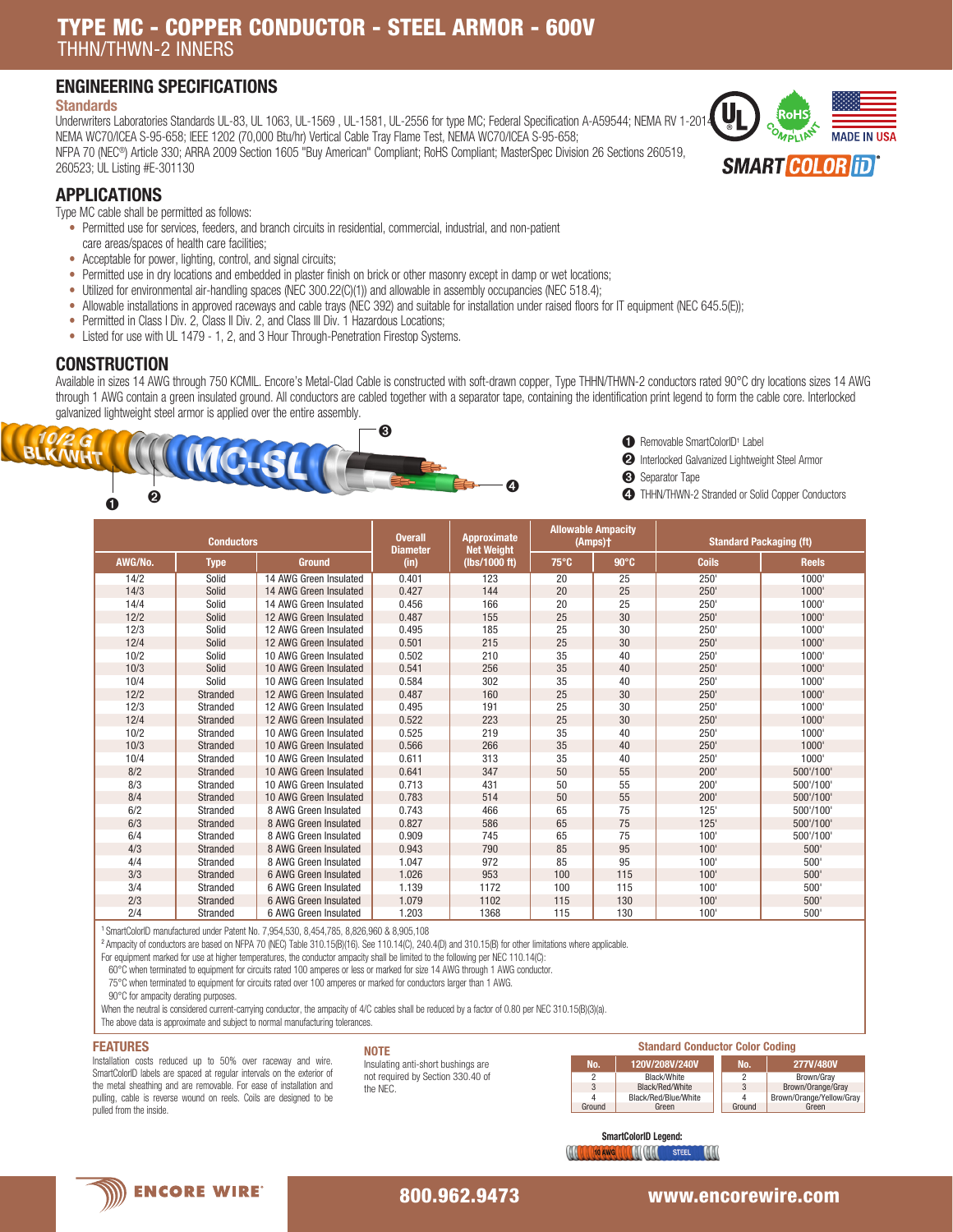# TYPE MC - COPPER CONDUCTOR - STEEL ARMOR - 600V THHN/THWN-2 INNERS

## ENGINEERING SPECIFICATIONS

### **Standards**

Underwriters Laboratories Standards UL-83, UL 1063, UL-1569, UL-1581, UL-2556 for type MC; Federal Specification A-A59544; NEMA RV 1-2014 NEMA WC70/ICEA S-95-658; IEEE 1202 (70,000 Btu/hr) Vertical Cable Tray Flame Test, NEMA WC70/ICEA S-95-658; NFPA 70 (NEC®) Article 330; ARRA 2009 Section 1605 "Buy American" Compliant; RoHS Compliant; MasterSpec Division 26 Sections 260519, 260523; UL Listing #E-301130



# APPLICATIONS

Type MC cable shall be permitted as follows:

- Permitted use for services, feeders, and branch circuits in residential, commercial, industrial, and non-patient care areas/spaces of health care facilities;
- Acceptable for power, lighting, control, and signal circuits;
- Permitted use in dry locations and embedded in plaster finish on brick or other masonry except in damp or wet locations;
- Utilized for environmental air-handling spaces (NEC 300.22(C)(1)) and allowable in assembly occupancies (NEC 518.4);
- Allowable installations in approved raceways and cable trays (NEC 392) and suitable for installation under raised floors for IT equipment (NEC 645.5(E));
- Permitted in Class I Div. 2, Class II Div. 2, and Class III Div. 1 Hazardous Locations;
- Listed for use with UL 1479 1, 2, and 3 Hour Through-Penetration Firestop Systems.

## **CONSTRUCTION**

Available in sizes 14 AWG through 750 KCMIL. Encore's Metal-Clad Cable is constructed with soft-drawn copper, Type THHN/THWN-2 conductors rated 90°C dry locations sizes 14 AWG through 1 AWG contain a green insulated ground. All conductors are cabled together with a separator tape, containing the identification print legend to form the cable core. Interlocked galvanized lightweight steel armor is applied over the entire assembly.



- **ID** Removable SmartColorID<sup>1</sup> Label
- ➋ Interlocked Galvanized Lightweight Steel Armor
- ➌ Separator Tape
	-

| <b>Conductors</b> |             |                        | <b>Overall</b><br><b>Diameter</b> | <b>Approximate</b><br><b>Net Weight</b> |      | <b>Allowable Ampacity</b><br>(Amps)+ | <b>Standard Packaging (ft)</b> |              |  |
|-------------------|-------------|------------------------|-----------------------------------|-----------------------------------------|------|--------------------------------------|--------------------------------|--------------|--|
| AWG/No.           | <b>Type</b> | <b>Ground</b>          | (in)                              | (lbs/1000 ft)                           | 75°C | $90^\circ C$                         | <b>Coils</b>                   | <b>Reels</b> |  |
| 14/2              | Solid       | 14 AWG Green Insulated | 0.401                             | 123                                     | 20   | 25                                   | 250'                           | 1000'        |  |
| 14/3              | Solid       | 14 AWG Green Insulated | 0.427                             | 144                                     | 20   | 25                                   | 250'                           | 1000'        |  |
| 14/4              | Solid       | 14 AWG Green Insulated | 0.456                             | 166                                     | 20   | 25                                   | 250'                           | 1000'        |  |
| 12/2              | Solid       | 12 AWG Green Insulated | 0.487                             | 155                                     | 25   | 30                                   | 250'                           | 1000'        |  |
| 12/3              | Solid       | 12 AWG Green Insulated | 0.495                             | 185                                     | 25   | 30                                   | 250'                           | 1000'        |  |
| 12/4              | Solid       | 12 AWG Green Insulated | 0.501                             | 215                                     | 25   | 30                                   | 250'                           | 1000'        |  |
| 10/2              | Solid       | 10 AWG Green Insulated | 0.502                             | 210                                     | 35   | 40                                   | 250'                           | 1000'        |  |
| 10/3              | Solid       | 10 AWG Green Insulated | 0.541                             | 256                                     | 35   | 40                                   | 250'                           | 1000'        |  |
| 10/4              | Solid       | 10 AWG Green Insulated | 0.584                             | 302                                     | 35   | 40                                   | 250'                           | 1000'        |  |
| 12/2              | Stranded    | 12 AWG Green Insulated | 0.487                             | 160                                     | 25   | 30                                   | 250'                           | 1000'        |  |
| 12/3              | Stranded    | 12 AWG Green Insulated | 0.495                             | 191                                     | 25   | 30                                   | 250'                           | 1000'        |  |
| 12/4              | Stranded    | 12 AWG Green Insulated | 0.522                             | 223                                     | 25   | 30                                   | 250'                           | 1000'        |  |
| 10/2              | Stranded    | 10 AWG Green Insulated | 0.525                             | 219                                     | 35   | 40                                   | 250'                           | 1000'        |  |
| 10/3              | Stranded    | 10 AWG Green Insulated | 0.566                             | 266                                     | 35   | 40                                   | 250'                           | 1000'        |  |
| 10/4              | Stranded    | 10 AWG Green Insulated | 0.611                             | 313                                     | 35   | 40                                   | 250'                           | 1000'        |  |
| 8/2               | Stranded    | 10 AWG Green Insulated | 0.641                             | 347                                     | 50   | 55                                   | 200'                           | 500'/100'    |  |
| 8/3               | Stranded    | 10 AWG Green Insulated | 0.713                             | 431                                     | 50   | 55                                   | 200'                           | 500'/100'    |  |
| 8/4               | Stranded    | 10 AWG Green Insulated | 0.783                             | 514                                     | 50   | 55                                   | 200'                           | 500'/100'    |  |
| 6/2               | Stranded    | 8 AWG Green Insulated  | 0.743                             | 466                                     | 65   | 75                                   | 125'                           | 500'/100'    |  |
| 6/3               | Stranded    | 8 AWG Green Insulated  | 0.827                             | 586                                     | 65   | 75                                   | 125'                           | 500'/100'    |  |
| 6/4               | Stranded    | 8 AWG Green Insulated  | 0.909                             | 745                                     | 65   | 75                                   | 100'                           | 500'/100'    |  |
| 4/3               | Stranded    | 8 AWG Green Insulated  | 0.943                             | 790                                     | 85   | 95                                   | 100'                           | 500'         |  |
| 4/4               | Stranded    | 8 AWG Green Insulated  | 1.047                             | 972                                     | 85   | 95                                   | 100'                           | 500'         |  |
| 3/3               | Stranded    | 6 AWG Green Insulated  | 1.026                             | 953                                     | 100  | 115                                  | 100'                           | 500'         |  |
| 3/4               | Stranded    | 6 AWG Green Insulated  | 1.139                             | 1172                                    | 100  | 115                                  | 100'                           | 500'         |  |
| 2/3               | Stranded    | 6 AWG Green Insulated  | 1.079                             | 1102                                    | 115  | 130                                  | 100'                           | 500'         |  |
| 2/4               | Stranded    | 6 AWG Green Insulated  | 1.203                             | 1368                                    | 115  | 130                                  | 100'                           | 500'         |  |

<sup>1</sup>SmartColorID manufactured under Patent No. 7,954,530, 8,454,785, 8,826,960 & 8,905,108

<sup>2</sup>Ampacity of conductors are based on NFPA 70 (NEC) Table 310.15(B)(16). See 110.14(C), 240.4(D) and 310.15(B) for other limitations where applicable.

For equipment marked for use at higher temperatures, the conductor ampacity shall be limited to the following per NEC 110.14(C):

 60°C when terminated to equipment for circuits rated 100 amperes or less or marked for size 14 AWG through 1 AWG conductor. 75°C when terminated to equipment for circuits rated over 100 amperes or marked for conductors larger than 1 AWG.

90°C for ampacity derating purposes.

When the neutral is considered current-carrying conductor, the ampacity of 4/C cables shall be reduced by a factor of 0.80 per NEC 310.15(B)(3)(a).

The above data is approximate and subject to normal manufacturing tolerances.

#### FEATURES

Installation costs reduced up to 50% over raceway and wire. SmartColorID labels are spaced at regular intervals on the exterior of the metal sheathing and are removable. For ease of installation and pulling, cable is reverse wound on reels. Coils are designed to be pulled from the inside.

| <b>NOTE</b>                        |
|------------------------------------|
| Insulating anti-short bushings are |
| not required by Section 330.40 of  |
| the NEC.                           |

| <b>Standard Conductor Color Coding</b> |                      |  |        |                          |  |  |
|----------------------------------------|----------------------|--|--------|--------------------------|--|--|
| No.                                    | 120V/208V/240V       |  | No.    | 277V/480V                |  |  |
| 2                                      | Black/White          |  |        | Brown/Grav               |  |  |
| 3                                      | Black/Red/White      |  |        | Brown/Orange/Gray        |  |  |
|                                        | Black/Red/Blue/White |  |        | Brown/Orange/Yellow/Grav |  |  |
| Ground                                 | Green                |  | Ground | Green                    |  |  |

SmartColorID Legend: **All all to Awd all All All STEEL AND** 

**ENCORE WIRE** 

800.962.9473 www.encorewire.com